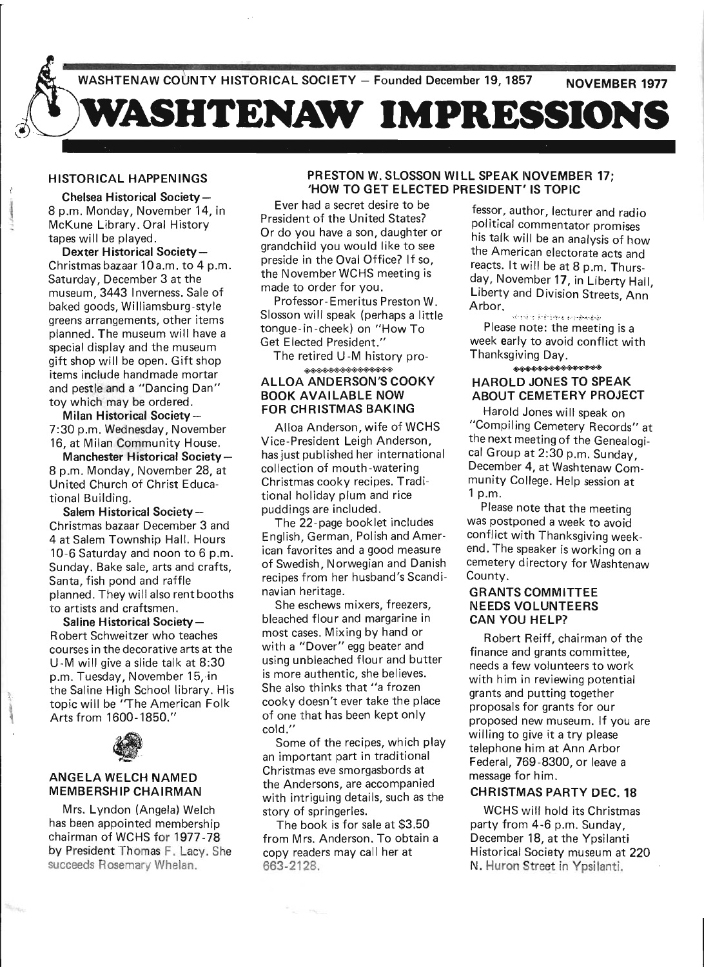

### HISTORICAL HAPPENINGS

Chelsea Historical Society-8 p.m. Monday, November 14, in McKune Library. Oral History tapes will be played.

Dexter Historical Society-Christmas bazaar 10a.m. to 4 p.m. Saturday, December 3 at the museum, 3443 Inverness. Sale of baked goods, Williamsburg-style greens arrangements, other items planned. The museum will have a special display and the museum gift shop will be open. Gift shop items include handmade mortar and pestle and a "Dancing Dan" toy which may be ordered.

Milan Historical Society-7:30 p.m. Wednesday, November 16, at Milan Community House.

Manchester Historical Society-8 p.m. Monday, November 28, at United Church of Christ Educational Building.

Salem Historical Society-Christmas bazaar December 3 and 4 at Salem Township Hall. Hours 10-6 Saturday and noon to 6 p.m. Sunday. Bake sale, arts and crafts, Santa, fish pond and raffle planned. They will also rent booths to artists and craftsmen.

Saline Historical Society-R obert Schweitzer who teaches courses in the decorative arts at the U -M will give a slide talk at 8:30 p.m. Tuesday, November 15, in the Saline High School library. His topic will be ''The American Folk Arts from 1600-1850."



!l.  $\mathcal{L}$ 

Su.

### ANGELA WELCH NAMED MEMBERSHIP CHAIRMAN

Mrs. Lyndon (Angela) Welch has been appointed membership chairman of WCHS for 1977-78 by President Thomas F. Lacy. She succeeds Rosemary Whelan.

## PRESTON W. SLOSSON WILL SPEAK NOVEMBER 17; 'HOW TO GET ELECTED PRESIDENT' IS TOPIC

Ever had a secret desire to be President of the United States? Or do you have a son, daughter or grandchild you would like to see preside in the Oval Office? If so, the November WCHS meeting is made to order for you.

Professor-Emeritus Preston W. Siosson will speak (perhaps a little tongue-in-cheek) on "How To Get Elected President." Army Marketter Charles Theory<br>
Will speak (perhaps a little<br>
in-cheek) on "How To<br>
ted President." We<br>
were the U-M history pro-<br>
ANDERSON'S COOKY

The retired U -M history pro-

### ALLOA ANDERSON'S COOKY BOOK AVAILABLE NOW FOR CHRISTMAS BAKING

Alloa Anderson, wife of WCHS Vice-President Leigh Anderson, has just published her international collection of mouth -watering Christmas cooky recipes. Traditional holiday plum and rice puddings are included .

The 22-page booklet includes English, German, Polish and American favorites and a good measure of Swedish, Norwegian and Danish recipes from her husband's Scandinavian heritage.

She eschews mixers, freezers, bleached flour and margarine in most cases. Mixing by hand or with a "Dover" egg beater and using unbleached flour and butter is more authentic, she believes. She also thinks that "a frozen cooky doesn't ever take the place of one that has been kept only cold."

Some of the recipes, which play an important part in traditional Christmas eve smorgasbords at the Andersons, are accompanied with intriguing details, such as the story of springerles.

The book is for sale at \$3.50 from Mrs. Anderson. To obtain a copy readers may call her at 663-2128.

fessor, author, lecturer and radio political commentator promises his talk will be an analysis of how the American electorate acts and reacts. It will be at 8 p.m. Thursday, November 17, in Liberty Hall Liberty and Division Streets, Ann' Arbor.

Please note: the meeting is a week early to avoid conflict with Thanksgiving Day. ~

# HAROLD JONES TO SPEAK ABOUT CEMETERY PROJECT

Harold Jones will speak on "Compiling Cemetery Records" at the next meeting of the Genealogical Group at 2:30 p.m. Sunday, December 4, at Washtenaw Community College. Help session at 1 p.m.

Please note that the meeting was postponed a week to avoid conflict with Thanksgiving weekend. The speaker is working on a cemetery directory for Washtenaw County.

### GRANTS COMMITTEE NEEDS VOLUNTEERS CAN YOU HELP?

Robert Reiff, chairman of the finance and grants committee, needs a few volunteers to work with him in reviewing potential grants and putting together proposals for grants for our proposed new museum. If you are willing to give it a try please telephone him at Ann Arbor Federal, 769-8300, or leave a message for him.

## CHRISTMAS PARTY DEC. 18

WCHS will hold its Christmas party from 4-6 p.m. Sunday, December 18, at the Ypsilanti Historical Society museum at 220 N. Huron Street in Ypsilanti.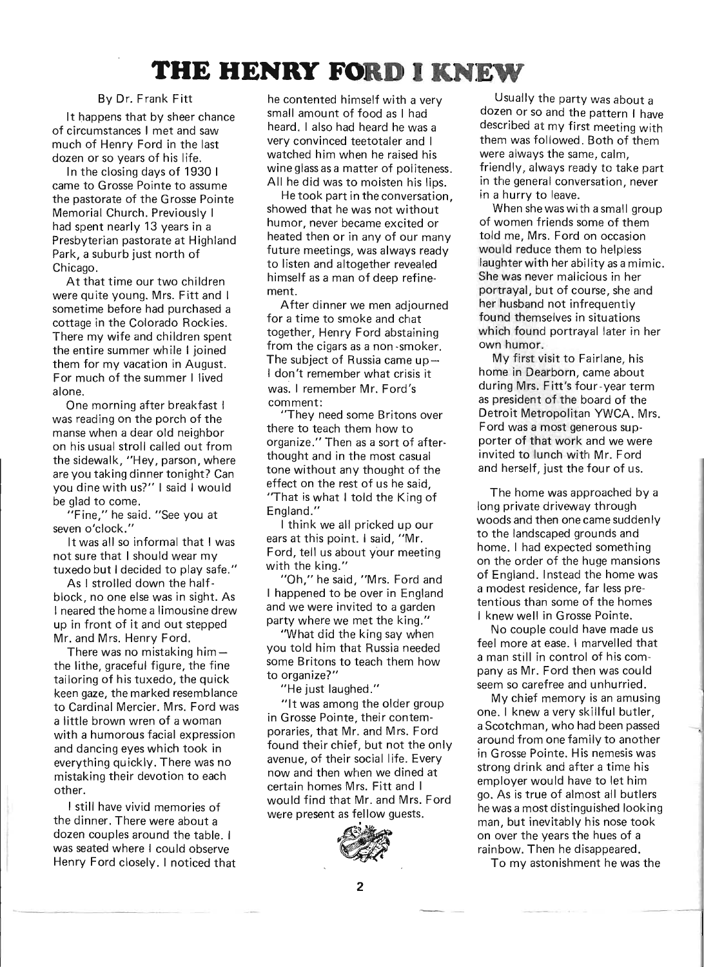# **THE HENRY FORD I KNEW**

### By Dr. Frank Fitt

It happens that by sheer chance of circumstances I met and saw much of Henry Ford in the last dozen or so years of his life.

In the closing days of 1930 I came to Grosse Pointe to assume the pastorate of the Grosse Pointe Memorial Church. Previously I had spent nearly 13 years in a Presbyterian pastorate at Highland Park, a suburb just north of Chicago.

At that time our two children were quite young. Mrs. Fitt and I sometime before had purchased a cottage in the Colorado Rockies. There my wife and children spent the entire summer while I joined them for my vacation in August. For much of the summer I lived alone.

One morning after breakfast I was reading on the porch of the manse when a dear old neighbor on his usual stroll called out from the sidewalk, "Hey, parson, where are you taking dinner tonight? Can you dine with us?" I said I would be glad to come.

 $"$ Fine," he said. "See you at seven o'clock."

It was all so informal that I was not sure that I should wear my tuxedo but I decided to play safe."

As I strolled down the halfblock, no one else was in sight. As I neared the home a limousine drew up in front of it and out stepped Mr. and Mrs. Henry Ford.

There was no mistaking him $$ the lithe, graceful figure, the fine tailoring of his tuxedo, the quick keen gaze, the marked resemblance to Cardinal Mercier. Mrs. Ford was a little brown wren of a woman with a humorous facial expression and dancing eyes which took in everything quickly. There was no mistaking their devotion to each other.

I still have vivid memories of the dinner. There were about a dozen couples around the table. I was seated where I could observe Henry Ford closely. I noticed that he contented himself with a very small amount of food as I had heard. I also had heard he was a very convinced teetotaler and I watched him when he raised his wine glass as a matter of politeness. All he did was to moisten his lips.

He took part in the conversation. showed that he was not without ' humor, never became excited or heated then or in any of our many future meetings, was always ready to listen and altogether revealed himself as a man of deep refinement.

After dinner we men adjourned for a time to smoke and chat together, Henry Ford abstaining from the cigars as a non -smoker. The subject of Russia came up-I don't remember what crisis it was. I remember Mr. Ford's comment:

"They need some Britons over there to teach them how to organize." Then as a sort of afterthought and in the most casual tone without any thought of the effect on the rest of us he said "That is what I told the King of England."

I think we all pricked up our ears at this point. I said, "Mr. Ford, tell us about your meeting with the king."

"Oh," he said, "Mrs. Ford and I happened to be over in England and we were invited to a garden party where we met the king."

"What did the king say when you told him that Russia needed some Britons to teach them how to organize?"

"He just laughed."

"It was among the older group in Grosse Pointe, their contemporaries, that Mr. and Mrs. Ford found their chief, but not the only avenue, of their social life. Every now and then when we dined at certain homes Mrs. Fitt and I would find that Mr. and Mrs. Ford were present as fellow guests.



Usually the party was about a dozen or so and the pattern I have described at my first meeting with them was followed. Both of them were always the same, calm, friendly, always ready to take part in the general conversation, never in a hurry to leave.

When she was with a small group of women friends some of them told me, Mrs. Ford on occasion would reduce them to helpless laughter with her ability as a mimic. She was never malicious in her portrayal, but of course, she and her husband not infrequently found themselves in situations which found portrayal later in her own humor.

My first visit to Fairlane, his home in Dearborn, came about during Mrs. Fitt's four-year term as president of the board of the Detroit Metropolitan YWCA. Mrs. Ford was a most generous supporter of that work and we were invited to lunch with Mr. Ford and herself, just the four of us.

The home was approached by a long private driveway through woods and then one came sudden Iy to the landscaped grounds and home. I had expected something on the order of the huge mansions of England. Instead the home was a modest residence, far less pretentious than some of the homes I knew well in Grosse Pointe.

No couple could have made us feel more at ease. I marvelled that a man still in control of his company as Mr. Ford then was could seem so carefree and unhurried.

My chief memory is an amusing one. I knew a very skillful butler, a Scotchman, who had been passed around from one family to another in Grosse Pointe. His nemesis was strong drink and after a time his employer would have to let him go. As is true of almost all butlers he was a most distinguished looking man, but inevitably his nose took on over the years the hues of a rainbow. Then he disappeared.

To my astonishment he was the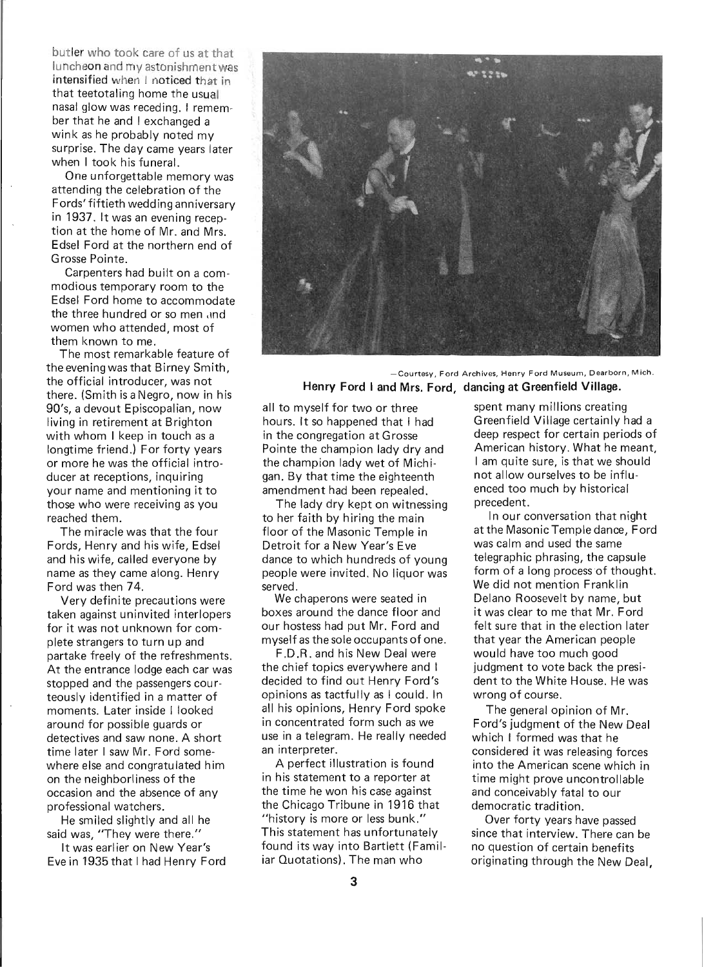butler who took care of us at that luncheon and my astonishment was intensified when I noticed that in that teetotaling home the usual nasal glow was receding. I remember that he and I exchanged a wink as he probably noted my surprise. The day came years later when I took his funeral.

One unforgettable memory was attending the celebration of the Fords' fiftieth wedding anniversary in 1937. It was an evening reception at the home of Mr. and Mrs. Edsel Ford at the northern end of Grosse Pointe.

Carpenters had built on a commodious temporary room to the Edsel Ford home to accommodate the three hundred or so men imd women who attended, most of them known to me.

The most remarkable feature of the evening was that Birney Smith, the official introducer, was not there. (Smith is a Negro, now in his 90's, a devout Episcopalian, now living in retirement at Brighton with whom I keep in touch as a longtime friend.) For forty years or more he was the official introducer at receptions, inquiring your name and mentioning it to those who were receiving as you reached them.

The miracle was that the four Fords, Henry and his wife, Edsel and his wife, called everyone by name as they came along. Henry Ford was then 74.

Very definite precautions were taken against uninvited interlopers for it was not unknown for complete strangers to turn up and partake freely of the refreshments. At the entrance lodge each car was stopped and the passengers courteously identified in a matter of moments. Later inside I looked around for possible guards or detectives and saw none. A short time later I saw Mr. Ford somewhere else and congratulated him on the neighborliness of the occasion and the absence of any professional watchers.

He smiled slightly and all he said was, "They were there."

It was earlier on New Year's Eve in 1935 that I had Henry Ford



 $-$  Courtesy, Ford Archives, Henry Ford Museum, Dearborn, Mich. Henry Ford I and Mrs. Ford, dancing at Greenfield Village.

all to myself for two or three hours. It so happened that I had in the congregation at Grosse Pointe the champion lady dry and the champion lady wet of Michigan. By that time the eighteenth amendment had been repealed.

The lady dry kept on witnessing to her faith by hiring the main floor of the Masonic Temple in Detroit for a New Year's Eve dance to which hundreds of young people were invited. No liquor was served.

We chaperons were seated in boxes around the dance floor and our hostess had put Mr. Ford and myself as the sole occupants of one.

F.D.R. and his New Deal were the chief topics everywhere and I decided to find out Henry Ford's opinions as tactfully as I could. In all his opinions, Henry Ford spoke in concentrated form such as we use in a telegram. He really needed an interpreter.

A perfect illustration is found in his statement to a reporter at the time he won his case against the Chicago Tribune in 1916 that "history is more or less bunk." This statement has unfortunately found its way into Bartlett (Familiar Quotations). The man who

spent many millions creating Greenfield Village certainly had a deep respect for certain periods of American history. What he meant, I am quite sure, is that we should not allow ourselves to be influenced too much by historical precedent.

In our conversation that night at the Masonic Temple dance, Ford was calm and used the same telegraphic phrasing, the capsule form of a long process of thought. We did not mention Franklin Delano Roosevelt by name, but it was clear to me that Mr. Ford felt sure that in the election later that year the American people would have too much good judgment to vote back the president to the White House. He was wrong of course.

The general opinion of Mr. Ford's judgment of the New Deal which I formed was that he considered it was releasing forces into the American scene which in time might prove uncontrollable and conceivably fatal to our democratic tradition.

Over forty years have passed since that interview. There can be no question of certain benefits originating through the New Deal,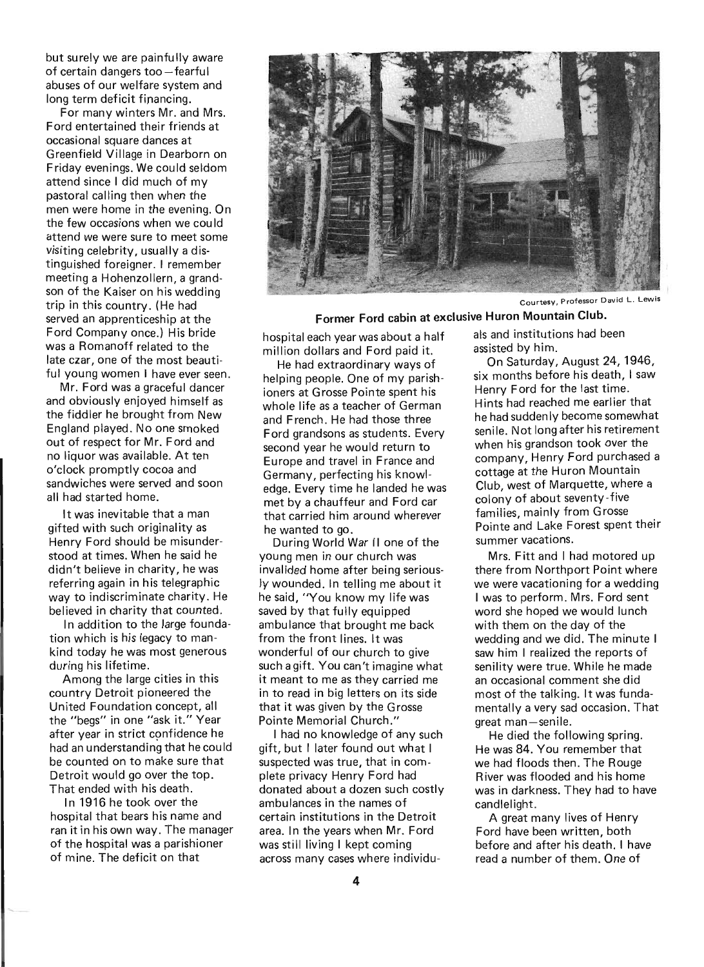but surely we are painfully aware of certain dangers too-fearful abuses of our welfare system and long term deficit financing.

For many winters Mr. and Mrs. Ford entertained their friends at occasional square dances at Greenfield Village in Dearborn on Friday evenings. We could seldom attend since I did much of my pastoral calling then when the men were home in the evening. On the few occasions when we cou Id attend we were sure to meet some visiting celebrity, usually a distinguished foreigner. I remember meeting a Hohenzollern, a grandson of the Kaiser on his wedding trip in this country. (He had served an apprenticeship at the Ford Company once.) His bride was a Romanoff related to the late czar, one of the most beautiful young women I have ever seen.

Mr. Ford was a graceful dancer and obviously enjoyed himself as the fiddler he brought from New England played. No one smoked out of respect for Mr. Ford and no liquor was available. At ten o'clock promptly cocoa and sandwiches were served and soon all had started home.

It was inevitable that a man gifted with such originality as Henry Ford should be misunderstood at times. When he said he didn't believe in charity, he was referring again in his telegraphic way to indiscriminate charity. He believed in charity that counted.

In addition to the large foundation which is his legacy to mankind today he was most generous during his lifetime.

Among the large cities in this country Detroit pioneered the United Foundation concept, all the "begs" in one "ask it." Year after year in strict confidence he had an understanding that he could be counted on to make sure that Detroit would go over the top. That ended with his death.

In 1916 he took over the hospital that bears his name and ran it in his own way. The manager of the hospital was a parishioner of mine. The deficit on that



Courtesy. Professor David L. Lewis

Former Ford cabin at exclusive Huron Mountain Club.

hospital each year was about a half million dollars and Ford paid it.

He had extraordinary ways of helping people. One of my parishioners at Grosse Pointe spent his whole life as a teacher of German and French. He had those three Ford grandsons as students. Every second year he would return to Europe and travel in France and Germany, perfecting his knowledge. Every time he landed he was met by a chauffeur and Ford car that carried him around wherever he wanted to go.

During World War II one of the young men in our church was invalided home after being seriously wounded. In telling me about it he said, "You know my life was saved by that fully equipped ambulance that brought me back from the front lines. It was wonderful of our church to give such a gift. You can't imagine what it meant to me as they carried me in to read in big letters on its side that it was given by the Grosse Pointe Memorial Church."

I had no knowledge of any such gift, but I later found out what I suspected was true, that in complete privacy Henry Ford had donated about a dozen such costly ambulances in the names of certain institutions in the Detroit area. In the years when Mr. Ford was still living I kept coming across many cases where individuals and institutions had been assisted by him.

On Saturday, August 24, 1946, six months before his death, I saw Henry Ford for the last time. Hints had reached me earlier that he had suddenly become somewhat senile. Not long after his retirement when his grandson took over the company, Henry Ford purchased a cottage at the Huron Mountain Club, west of Marquette, where a colony of about seventy-five families, mainly from Grosse Pointe and Lake Forest spent their summer vacations.

Mrs. Fitt and I had motored up there from Northport Point where we were vacationing for a wedding I was to perform. Mrs. Ford sent word she hoped we would lunch with them on the day of the wedding and we did. The minute I saw him I realized the reports of senility were true. While he made an occasional comment she did most of the talking. It was fundamentally a very sad occasion. That great man-senile.

He died the following spring. He was 84. You remember that we had floods then. The Rouge River was flooded and his home was in darkness. They had to have candlelight.

A great many lives of Henry Ford have been written, both before and after his death. I have read a number of them. One of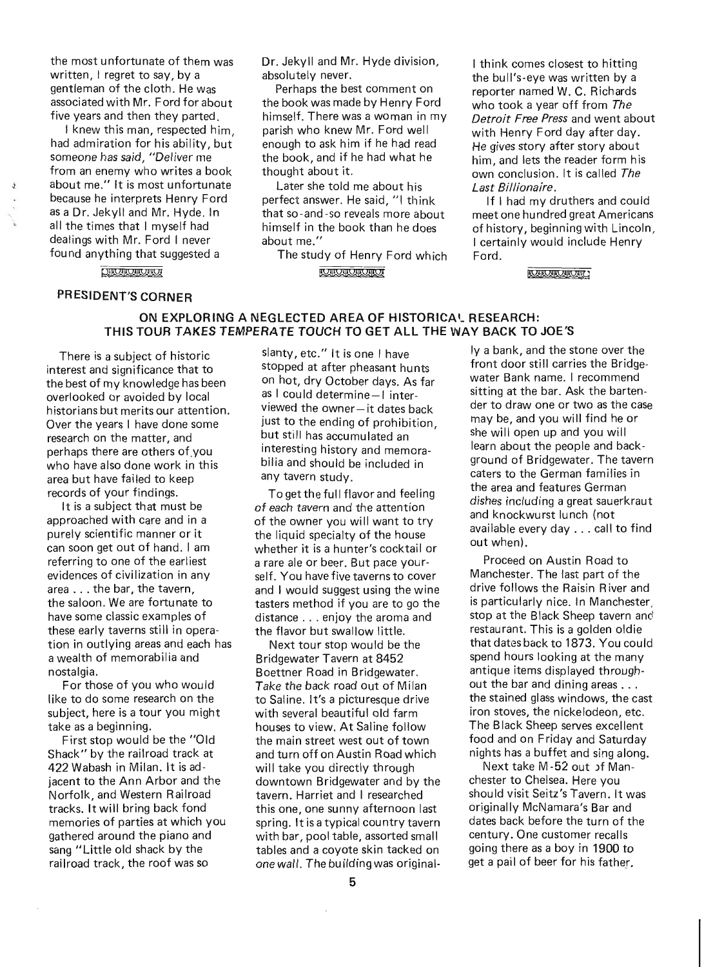the most unfortunate of them was written, I regret to say, by a gentleman of the cloth. He was associated with Mr. Ford for about five years and then they parted.

I knew this man, respected him, had admiration for his ability, but someone has said, "Deliver me from an enemy who writes a book about me." It is most unfortunate because he interprets Henry Ford as a Dr. Jekyll and Mr. Hyde. In all the times that I myself had dealings with Mr. Ford I never found anything that suggested a

Dr. Jekyll and Mr. Hyde division, absolutely never.

Perhaps the best comment on the book was made by Henry Ford himself. There was a woman in my parish who knew Mr. Ford well enough to ask him if he had read the book, and if he had what he thought about it.

Later she told me about his perfect answer. He said, "I think that so -and -so reveals more about himself in the book than he does about me."

The study of Henry Ford which **CHICHLOROT** 

I think comes closest to hitting the bull's-eye was written by a reporter named W. C. Richards who took a year off from The *Detroit Free Press* and went about with Henry Ford day after day. He gives story after story about him, and lets the reader form his own conclusion. It is called The *Last Billionaire.* 

If I had my druthers and could meet one hundred great Americans of history, beginning with Lincoln, I certainly would include Henry Ford.

**QUOUQUOUD** 

## PRESIDENT'S CORNER

Q\|QQ|QQ|QQ|QQ|QQ

### ON EXPLORING A NEGLECTED AREA OF HISTORICA'- RESEARCH: THIS TOUR TAKES TEMPERATE TOUCH TO GET ALL THE WAY BACK TO JOE'S

There is a subject of historic interest and significance that to the best of my knowledge has been overlooked or avoided by local historians but merits our attention. Over the years I have done some research on the matter, and perhaps there are others of.you who have also done work in this area but have failed to keep records of your findings.

It is a subject that must be approached with care and in a purely scientific manner or it can soon get out of hand. I am referring to one of the earliest evidences of civilization in any area ... the bar, the tavern, the saloon. We are fortunate to have some classic examples of these early taverns still in operation in outlying areas and each has a wealth of memorabilia and nostalgia.

For those of you who would like to do some research on the subject, here is a tour you might take as a beginning.

First stop would be the "Old Shack" by the railroad track at 422 Wabash in Milan. It is adjacent to the Ann Arbor and the Norfolk, and Western Railroad tracks. It will bring back fond memories of parties at which you gathered around the piano and sang "Little old shack by the railroad track, the roof was so

slanty, etc." It is one I have stopped at after pheasant hunts on hot, dry October days. As far as I could determine-I interviewed the owner-it dates back just to the ending of prohibition, but still has accumulated an interesting history and memorabilia and should be included in any tavern study.

To get the full flavor and feeling of each tavern and the attention of the owner you will want to try the liquid specialty of the house whether it is a hunter's cocktail or a rare ale or beer. But pace yourself. You have five taverns to cover and I would suggest using the wine tasters method if you are to go the distance ... enjoy the aroma and the flavor but swallow little.

Next tour stop would be the Bridgewater Tavern at 8452 Boettner Road in Bridgewater. Take the back road out of Milan to Saline. It's a picturesque drive with several beautiful old farm houses to view. At Saline follow the main street west out of town and turn off on Austin Road which will take you directly through downtown Bridgewater and by the tavern. Harriet and I researched this one, one sunny afternoon last spring. It is a typical country tavern with bar, pool table, assorted small tables and a coyote skin tacked on one wall. The building was originalIy a bank, and the stone over the front door still carries the Bridgewater Bank name. I recommend sitting at the bar. Ask the bartender to draw one or two as the case may be, and you will find he or she will open up and you will learn about the people and background of Bridgewater. The tavern caters to the German families in the area and features German dishes including a great sauerkraut and knockwurst lunch (not available every day ... call to find out when).

Proceed on Austin Road to Manchester. The last part of the drive follows the Raisin River and is particularly nice. In Manchester, stop at the Black Sheep tavern and restaurant. This is a golden oldie that dates back to 1873. You could spend hours looking at the many antique items displayed throughout the bar and dining areas . . . the stained glass windows, the cast iron stoves, the nickelodeon, etc. The Black Sheep serves excellent food and on Friday and Saturday nights has a buffet and sing along.

Next take M -52 out )f Manchester to Chelsea. Here you should visit Seitz's Tavern. It was originally McNamara's Bar and dates back before the turn of the century. One customer recalls going there as a boy in 1900 to get a pail of beer for his father.

 $\cdot$